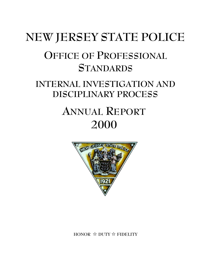# **NEW JERSEY STATE POLICE OFFICE OF PROFESSIONAL STANDARDS INTERNAL INVESTIGATION AND DISCIPLINARY PROCESS ANNUAL REPORT 2000**



**HONOR** j **DUTY** j **FIDELITY**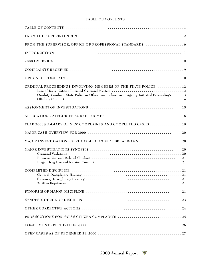#### **TABLE OF CONTENTS**

| CRIMINAL PROCEEDINGS INVOLVING MEMBERS OF THE STATE POLICE  12<br>On-duty Conduct: State Police or Other Law Enforcement Agency Initiated Proceedings  13 |
|-----------------------------------------------------------------------------------------------------------------------------------------------------------|
|                                                                                                                                                           |
|                                                                                                                                                           |
| YEAR 2000 SUMMARY OF NEW COMPLAINTS AND COMPLETED CASES 18                                                                                                |
|                                                                                                                                                           |
| MAJOR INVESTIGATIONS SERIOUS MISCONDUCT BREAKDOWN 20                                                                                                      |
|                                                                                                                                                           |
|                                                                                                                                                           |
|                                                                                                                                                           |
|                                                                                                                                                           |
|                                                                                                                                                           |
|                                                                                                                                                           |
|                                                                                                                                                           |
|                                                                                                                                                           |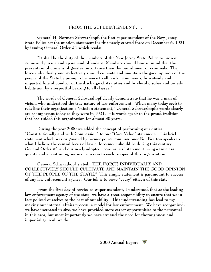## **FROM THE SUPERINTENDENT . . .**

**General H. Norman Schwarzkopf, the first superintendent of the New Jersey State Police set the mission statement for this newly created force on December 5, 1921 by issuing General Order #1 which reads:**

**"It shall be the duty of the members of the New Jersey State Police to prevent crime and pursue and apprehend offenders. Members should bear in mind that the prevention of crime is of greater importance than the punishment of criminals. The force individually and collectively should cultivate and maintain the good opinion of the people of the State by prompt obedience to all lawful commands, by a steady and impartial line of conduct in the discharge of its duties and by cleanly, sober and orderly habits and by a respectful bearing to all classes."**

**The words of General Schwarzkopf clearly demonstrate that he was a man of vision, who understood the true nature of law enforcement. When many today seek to redefine their organization's "mission statement," General Schwarzkopf's words clearly are as important today as they were in 1921. His words speak to the proud tradition that has guided this organization for almost 80 years.** 

**During the year 2000 we added the concept of performing our duties "Constitutionally and with Compassion" to our "Core Value" statement. This brief statement which was originated by former police commissioner Bill Bratton speaks to what I believe the central focus of law enforcement should be during this century. General Order #1 and our newly adopted "core values" statement bring a timeless quality and a continuing sense of mission to each trooper of this organization.** 

**General Schwarzkopf stated, "THE FORCE INDIVIDUALLY AND COLLECTIVELY SHOULD CULTIVATE AND MAINTAIN THE GOOD OPINION OF THE PEOPLE OF THE STATE." This simple statement is paramount to success of any law enforcement agency. Our job is to serve "every" citizen of this state.**

**From the first day of service as Superintendent, I understood that as the leading law enforcement agency of the state, we have a great responsibility to ensure that we in fact policed ourselves to the best of our ability. This understanding has lead to my making our internal affairs process, a model for law enforcement. We have reorganized, we have increased in size, we have provided more career opportunities to the personnel in this area, but most importantly we have stressed the need for thoroughness and impartiality in all we do.**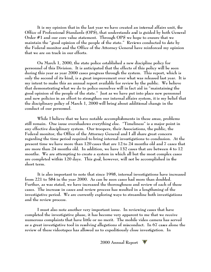**It is my opinion that in the last year we have created an internal affairs unit, the Office of Professional Standards (OPS), that understands and is guided by both General Order #1 and our core value statement. Through OPS we hope to ensure that we maintain the "good opinion of the people of the state." Reviews conducted to date by the Federal monitor and the Office of the Attorney General have reinforced my opinion that we are on track in our efforts.**

**On March 1, 2000, the state police established a new discipline policy for personnel of this Division. It is anticipated that the effects of this policy will be seen during this year as year 2000 cases progress through the system. This report, which is only the second of its kind, is a great improvement over what was released last year. It is my intent to make this an annual report available for review by the public. We believe that demonstrating what we do to police ourselves will in fact aid in "maintaining the good opinion of the people of the state." Just as we have put into place new personnel and new policies in an effort to strengthen our internal affairs system, it is my belief that the disciplinary policy of March 1, 2000 will bring about additional change in the conduct of our personnel.**

**While I believe that we have notable accomplishments in these areas, problems still remain. One issue overshadows everything else. "Timeliness" is a major point in any effective disciplinary system. Our troopers, their Associations, the public, the Federal monitor, the Office of the Attorney General and I all share great concern regarding the time period required to bring internal investigations to conclusion. At the present time we have more than 120 cases that are 12 to 24 months old and 7 cases that are more than 24 months old. In addition, we have 132 cases that are between 4 to 12 months. We are attempting to create a system in which all but the most complex cases are completed within 120 days. This goal, however, will not be accomplished in the short term.**

**It is also important to note that since 1998, internal investigations have increased from 221 to 584 in the year 2000. As can be seen cases had more than doubled. Further, as was stated, we have increased the thoroughness and review of each of these cases. The increase in cases and review process has resulted in a lengthening of the investigative period. We are currently exploring ways to streamline both investigations and the review process.**

**I must also note another very important issue. In reviewing cases that have completed the investigative phase, it has become very apparent to me that we receive numerous complaints that have little or no merit. The mobile video camera has served as a great investigative tool in resolving allegations of misconduct. In 67 cases alone the review of these videotapes has allowed us to expeditiously close investigation. In**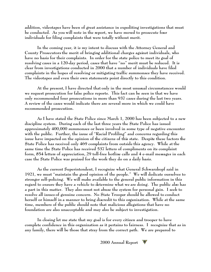**addition, videotapes have been of great assistance in expediting investigations that must be conducted. As you will note in the report, we have moved to prosecute four individuals for filing complaints that were totally without merit.** 

**In the coming year, it is my intent to discuss with the Attorney General and County Prosecutors the merit of bringing additional charges against individuals, who have no basis for their complaints. In order for the state police to meet its goal of resolving cases in a 120-day period, cases that have "no" merit must be reduced. It is clear from investigations conducted in 2000 that a number of individuals have filed complaints in the hopes of resolving or mitigating traffic summonses they have received. The videotapes and even their own statements point directly to this condition.** 

**At the present, I have directed that only in the most unusual circumstances would we request prosecution for false police reports. This fact can be seen in that we have only recommended four prosecutions in more than 937 cases during the last two years. A review of the cases would indicate there are several more in which we could have recommended prosecution.**

**As I have stated the State Police since March 1, 2000 has been subjected to a new discipline system. During each of the last three years the State Police has issued approximately 400,000 summonses or been involved in some type of negative encounter with the public. Further, the issue of "Racial Profiling" and concerns regarding this issue have impacted on the opinion of the citizens of this state. Despite these factors the State Police has received only 469 complaints from outside this agency. While at the same time the State Police has received 537 letters of compliments on its complaint form, 854 letters of appreciation, 29 toll-free hotline calls and 4 e-mail messages in each case the State Police was praised for the work they do on a daily basis.**

**As the current Superintendent, I recognize what General Schwarzkopf said in 1921, we must "maintain the good opinion of the people." We will dedicate ourselves to stronger self-policing. We will make available to the general public information in this regard to ensure they have a vehicle to determine what we are doing. The public also has a part in this matter. They also must not abuse the system for personal gain. I seek to resolve all issues of genuine concern. No State Trooper should be allowed to conduct herself or himself in a manner to bring discredit to this organization. While at the same time, members of the public should note that malicious allegations that have no foundation are also unacceptable and may also be subject to investigation.**

**In closing let me state that my goal is for every citizen and trooper to have complete confidence in this organization as it pertains to fairness. I recognize that as in any family, there will be those that stray from the correct path. We are prepared to**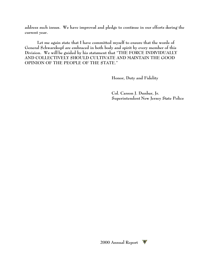**address such issues. We have improved and pledge to continue in our efforts during the current year.**

**Let me again state that I have committed myself to ensure that the words of General Schwarzkopf are embraced in both body and spirit by every member of this Division. We will be guided by his statement that "THE FORCE INDIVIDUALLY AND COLLECTIVELY SHOULD CULTIVATE AND MAINTAIN THE GOOD OPINION OF THE PEOPLE OF THE STATE."**

**Honor, Duty and Fidelity**

**Col. Carson J. Dunbar, Jr. Superintendent New Jersey State Police**

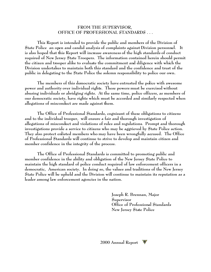#### **FROM THE SUPERVISOR, OFFICE OF PROFESSIONAL STANDARDS . . .**

**This Report is intended to provide the public and members of the Division of State Police an open and candid analysis of complaints against Division personnel. It is also hoped that this Report will increase awareness of the high standards of conduct required of New Jersey State Troopers. The information contained herein should permit the citizen and trooper alike to evaluate the commitment and diligence with which the Division undertakes to maintain both this standard and the confidence and trust of the public in delegating to the State Police the solemn responsibility to police our own.**

**The members of this democratic society have entrusted the police with awesome power and authority over individual rights. These powers must be exercised without abusing individuals or abridging rights. At the same time, police officers, as members of our democratic society, have rights which must be accorded and similarly respected when allegations of misconduct are made against them.**

**The Office of Professional Standards, cognizant of these obligations to citizens and to the individual trooper, will ensure a fair and thorough investigation of allegations of misconduct and violations of rules and regulations. Prompt and thorough investigations provide a service to citizens who may be aggrieved by State Police action. They also protect enlisted members who may have been wrongfully accused. The Office of Professional Standards will continue to strive to develop and maintain citizen and member confidence in the integrity of the process.**

**The Office of Professional Standards is committed to promoting public and member confidence in the ability and obligation of the New Jersey State Police to maintain the high standard of police conduct required of law enforcement officers in a democratic, American society. In doing so, the values and traditions of the New Jersey State Police will be upheld and the Division will continue to maintain its reputation as a leader among law enforcement agencies in the nation.** 

> **Joseph R. Brennan, Major Supervisor Office of Professional Standards New Jersey State Police**

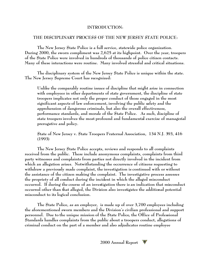## **INTRODUCTION:**

## **THE DISCIPLINARY PROCESS OF THE NEW JERSEY STATE POLICE:**

**The New Jersey State Police is a full service, statewide police organization. During 2000, the sworn compliment was 2,625 at its highpoint. Over the year, troopers of the State Police were involved in hundreds of thousands of police citizen contacts. Many of these interactions were routine. Many involved stressful and critical situations.** 

**The disciplinary system of the New Jersey State Police is unique within the state. The New Jersey Supreme Court has recognized:**

**Unlike the comparably routine issues of discipline that might arise in connection with employees in other departments of state government, the discipline of state troopers implicates not only the proper conduct of those engaged in the most significant aspects of law enforcement, involving the public safety and the apprehension of dangerous criminals, but also the overall effectiveness, performance standards, and morale of the State Police. As such, discipline of state troopers involves the most profound and fundamental exercise of managerial prerogative and policy.** 

**State of New Jersey v. State Troopers Fraternal Association, 134 N.J. 393, 416 (1993)**

**The New Jersey State Police accepts, reviews and responds to all complaints received from the public. These include anonymous complaints, complaints from third party witnesses and complaints from parties not directly involved in the incident from which an allegation arises. Notwithstanding the occurrence of citizens requesting to withdraw a previously made complaint, the investigation is continued with or without the assistance of the citizen making the complaint. The investigative process assesses the propriety of all conduct during the incident in which the alleged misconduct occurred. If during the course of an investigation there is an indication that misconduct occurred other than that alleged, the Division also investigates the additional potential misconduct to its logical conclusion.**

**The State Police, as an employer, is made up of over 3,700 employees including the aforementioned sworn members and the Division's civilian professional and support personnel. Due to the unique mission of the State Police, the Office of Professional Standards handles complaints from the public about a troopers conduct, allegations of criminal conduct on the part of a member and also adjudicates routine employee**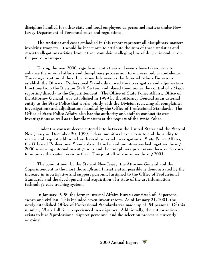**discipline handled for other state and local employees as personnel matters under New Jersey Department of Personnel rules and regulations.**

**The statistics and cases embodied in this report represent all disciplinary matters involving troopers. It would be inaccurate to attribute the sum of these statistics and cases to allegations arising from citizen complaints alleging line of duty misconduct on the part of a trooper.**

**During the year 2000, significant initiatives and events have taken place to enhance the internal affairs and disciplinary process and to increase public confidence. The reorganization of the office formerly known as the Internal Affairs Bureau to establish the Office of Professional Standards moved the investigative and adjudication functions from the Division Staff Section and placed them under the control of a Major reporting directly to the Superintendent. The Office of State Police Affairs, Office of the Attorney General, was established in 1999 by the Attorney General as an external entity to the State Police that works jointly with the Division reviewing all complaints, investigations and adjudications handled by the Office of Professional Standards. The Office of State Police Affairs also has the authority and staff to conduct its own investigations as well as to handle matters at the request of the State Police.**

**Under the consent decree entered into between the United States and the State of New Jersey on December 30, 1999, federal monitors have access to and the ability to review and request additional work on all internal investigations. State Police Affairs, the Office of Professional Standards and the federal monitors worked together during 2000 reviewing internal investigations and the disciplinary process and have endeavored to improve the system even further. This joint effort continues during 2001.**

**The commitment by the State of New Jersey, the Attorney General and the Superintendent to the most thorough and fairest system possible is demonstrated by the increase in investigative and support personnel assigned to the Office of Professional Standards and the development and acquisition of a state of the art information technology case tracking system.**

**In January 1998, the former Internal Affairs Bureau consisted of 19 persons, sworn and civilian. This included seven investigators. As of January 21, 2001, the newly established Office of Professional Standards was made up of 54 persons. Of this number, 23 are full time, experienced investigators. Additionally, the authorization exists to hire 5 professional support personnel and the selection process is currently ongoing.** 

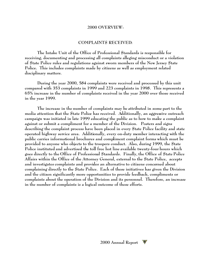#### **2000 OVERVIEW:**

#### **COMPLAINTS RECEIVED:**

**The Intake Unit of the Office of Professional Standards is responsible for receiving, documenting and processing all complaints alleging misconduct or a violation of State Police rules and regulations against sworn members of the New Jersey State Police. This includes complaints made by citizens as well as employment related disciplinary matters.**

**During the year 2000, 584 complaints were received and processed by this unit compared with 353 complaints in 1999 and 223 complaints in 1998. This represents a 65% increase in the number of complaints received in the year 2000 over those received in the year 1999.** 

**The increase in the number of complaints may be attributed in some part to the media attention that the State Police has received. Additionally, an aggressive outreach campaign was initiated in late 1999 educating the public as to how to make a complaint against or submit a compliment for a member of the Division. Posters and signs describing the complaint process have been placed in every State Police facility and state operated highway service area. Additionally, every on-duty member interacting with the public carries informational brochures and compliment complaint forms which must be provided to anyone who objects to the troopers conduct. Also, during 1999, the State Police instituted and advertised the toll free hot line available twenty-four hours which goes directly to the Office of Professional Standards. Finally, the Office of State Police Affairs within the Office of the Attorney General, external to the State Police, accepts and investigates complaints and provides an alternative to citizens concerned about complaining directly to the State Police. Each of these initiatives has given the Division and the citizen significantly more opportunities to provide feedback, compliments or complaints about the operation of the Division and its personnel. Therefore, an increase in the number of complaints is a logical outcome of these efforts.**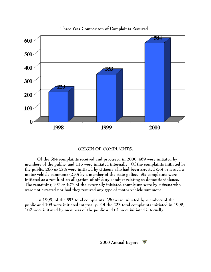

**Three Year Comparison of Complaints Received**

## **ORIGIN OF COMPLAINTS:**

**Of the 584 complaints received and processed in 2000, 469 were initiated by members of the public, and 115 were initiated internally. Of the complaints initiated by the public, 266 or 57% were initiated by citizens who had been arrested (56) or issued a motor vehicle summons (210) by a member of the state police. Six complaints were initiated as a result of an allegation of off-duty conduct relating to domestic violence. The remaining 197 or 42% of the externally initiated complaints were by citizens who were not arrested nor had they received any type of motor vehicle summons.**

**In 1999, of the 353 total complaints, 250 were initiated by members of the public and 103 were initiated internally. Of the 223 total complaints initiated in 1998, 162 were initiated by members of the public and 61 were initiated internally.**

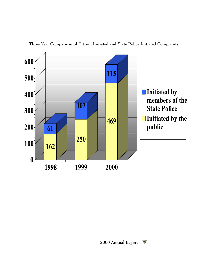

**Three Year Comparison of Citizen Initiated and State Police Initiated Complaints**

W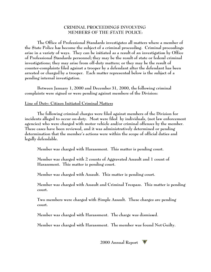## **CRIMINAL PROCEEDINGS INVOLVING MEMBERS OF THE STATE POLICE:**

**The Office of Professional Standards investigates all matters where a member of the State Police has become the subject of a criminal proceeding. Criminal proceedings arise in a variety of ways. They can be initiated as a result of an investigation by Office of Professional Standards personnel; they may be the result of state or federal criminal investigations; they may arise from off-duty matters; or they may be the result of counter-complaints filed against a trooper by a defendant after the defendant has been arrested or charged by a trooper. Each matter represented below is the subject of a pending internal investigation.**

**Between January 1, 2000 and December 31, 2000, the following criminal complaints were signed or were pending against members of the Division:**

#### **Line of Duty: Citizen Initiated Criminal Matters**

**The following criminal charges were filed against members of the Division for incidents alleged to occur on-duty. Most were filed by individuals, (not law enforcement agencies) who were charged with motor vehicle and/or criminal offenses by the member. These cases have been reviewed, and it was administratively determined or pending determination that the member's actions were within the scope of official duties and legally defendable.**

**Member was charged with Harassment. This matter is pending court.**

**Member was charged with 2 counts of Aggravated Assault and 1 count of Harassment. This matter is pending court.**

**Member was charged with Assault. This matter is pending court.**

**Member was charged with Assault and Criminal Trespass. This matter is pending court.**

**Two members were charged with Simple Assault. These charges are pending court.**

**Member was charged with Harassment. The charge was dismissed.**

**Member was charged with Harassment. The member was found Not Guilty.**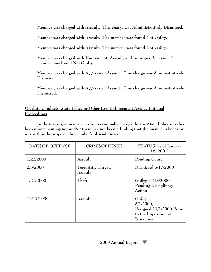**Member was charged with Assault. This charge was Administratively Dismissed.**

**Member was charged with Assault. The member was found Not Guilty.**

**Member was charged with Assault. The member was found Not Guilty.**

**Member was charged with Harassment, Assault, and Improper Behavior. The member was found Not Guilty.**

**Member was charged with Aggravated Assault. This charge was Administratively Dismissed.**

**Member was charged with Aggravated Assault. This charge was Administratively Dismissed.**

**On-duty Conduct: State Police or Other Law Enforcement Agency Initiated Proceedings**

**In these cases, a member has been criminally charged by the State Police or other law enforcement agency and/or there has not been a finding that the member's behavior was within the scope of the member's official duties:**

| DATE OF OFFENSE | <b>CRIME/OFFENSE</b>           | STATUS (as of January<br>16, 2001                                                     |
|-----------------|--------------------------------|---------------------------------------------------------------------------------------|
| 5/22/2000       | Assault                        | Pending Court                                                                         |
| 2/6/2000        | Terroristic Threats<br>Assault | Dismissed 5/17/2000                                                                   |
| 1/27/2000       | Theft                          | Guilty 12/18/2000<br>Pending Disciplinary<br>Action                                   |
| 12/17/1999      | Assault                        | Guilty<br>8/1/2000;<br>Resigned 11/1/2000 Prior<br>to the Imposition of<br>Discipline |

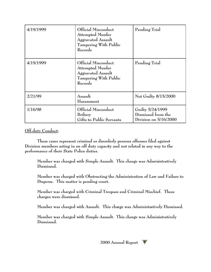| 4/19/1999 | Official Misconduct<br><b>Attempted Murder</b><br>Aggravated Assault<br>Tampering With Public<br>Records | Pending Trial                                                     |  |  |
|-----------|----------------------------------------------------------------------------------------------------------|-------------------------------------------------------------------|--|--|
| 4/19/1999 | Official Misconduct<br><b>Attempted Murder</b><br>Aggravated Assault<br>Tampering With Public<br>Records | Pending Trial                                                     |  |  |
| 2/21/99   | Assault<br>Harassment                                                                                    | Not Guilty 8/15/2000                                              |  |  |
| 1/16/98   | Official Misconduct<br>Bribery<br>Gifts to Public Servants                                               | Guilty 5/24/1999<br>Dismissed from the<br>Division on $5/16/2000$ |  |  |

## **Off-duty Conduct:**

**These cases represent criminal or disorderly persons offenses filed against Division members acting in an off duty capacity and not related in any way to the performance of their State Police duties.**

**Member was charged with Simple Assault. This charge was Administratively Dismissed.**

**Member was charged with Obstructing the Administration of Law and Failure to Disperse. This matter is pending court.**

**Member was charged with Criminal Trespass and Criminal Mischief. These charges were dismissed.**

**Member was charged with Assault. This charge was Administratively Dismissed.**

**Member was charged with Simple Assault. This charge was Administratively Dismissed.**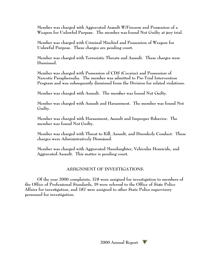**Member was charged with Aggravated Assault W/Firearm and Possession of a Weapon for Unlawful Purpose. The member was found Not Guilty at jury trial.**

**Member was charged with Criminal Mischief and Possession of Weapon for Unlawful Purpose. These charges are pending court.**

**Member was charged with Terroristic Threats and Assault. These charges were Dismissed.**

**Member was charged with Possession of CDS (Cocaine) and Possession of Narcotic Paraphernalia. The member was admitted to Pre-Trial Intervention Program and was subsequently dismissed from the Division for related violations.**

**Member was charged with Assault. The member was found Not Guilty.**

**Member was charged with Assault and Harassment. The member was found Not Guilty.**

**Member was charged with Harassment, Assault and Improper Behavior. The member was found Not Guilty.**

**Member was charged with Threat to Kill, Assault, and Disorderly Conduct. These charges were Administratively Dismissed.**

**Member was charged with Aggravated Manslaughter, Vehicular Homicide, and Aggravated Assault. This matter is pending court.**

## **ASSIGNMENT OF INVESTIGATIONS:**

**Of the year 2000 complaints, 378 were assigned for investigation to members of the Office of Professional Standards, 19 were referred to the Office of State Police Affairs for investigation, and 187 were assigned to other State Police supervisory personnel for investigation.**

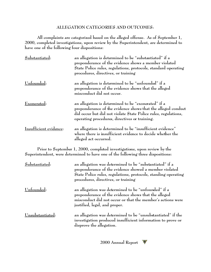## **ALLEGATION CATEGORIES AND OUTCOMES:**

**All complaints are categorized based on the alleged offense. As of September 1, 2000, completed investigations, upon review by the Superintendent, are determined to have one of the following four dispositions:**

| Substantiated:         | an allegation is determined to be "substantiated" if a<br>preponderance of the evidence shows a member violated<br>State Police rules, regulations, protocols, standard operating<br>procedures, directives, or training               |
|------------------------|----------------------------------------------------------------------------------------------------------------------------------------------------------------------------------------------------------------------------------------|
| Unfounded:             | an allegation is determined to be "unfounded" if a<br>preponderance of the evidence shows that the alleged<br>misconduct did not occur.                                                                                                |
| Exonerated:            | an allegation is determined to be "exonerated" if a<br>preponderance of the evidence shows that the alleged conduct<br>did occur but did not violate State Police rules, regulations,<br>operating procedures, directives or training. |
| Insufficient evidence: | an allegation is determined to be "insufficient evidence"<br>where there is insufficient evidence to decide whether the<br>alleged act occurred.                                                                                       |
|                        | Prior to September 1, 2000, completed investigations, upon review by the                                                                                                                                                               |

**Prior to September 1, 2000, completed investigations, upon review by the Superintendent, were determined to have one of the following three dispositions:**

| Substantiated:   | an allegation was determined to be "substantiated" if a<br>preponderance of the evidence showed a member violated<br>State Police rules, regulations, protocols, standing operating<br>procedures, directives, or training |
|------------------|----------------------------------------------------------------------------------------------------------------------------------------------------------------------------------------------------------------------------|
| Unfounded:       | an allegation was determined to be "unfounded" if a<br>preponderance of the evidence shows that the alleged<br>misconduct did not occur or that the member's actions were<br>justified, legal, and proper.                 |
| Unsubstantiated: | an allegation was determined to be "unsubstantiated" if the<br>investigation produced insufficient information to prove or<br>disprove the allegation.                                                                     |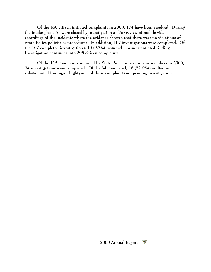**Of the 469 citizen initiated complaints in 2000, 174 have been resolved. During the intake phase 67 were closed by investigation and/or review of mobile video recordings of the incidents where the evidence showed that there were no violations of State Police policies or procedures. In addition, 107 investigations were completed. Of the 107 completed investigations, 10 (9.3%) resulted in a substantiated finding. Investigation continues into 295 citizen complaints.**

**Of the 115 complaints initiated by State Police supervisors or members in 2000, 34 investigations were completed. Of the 34 completed, 18 (52.9%) resulted in substantiated findings. Eighty-one of these complaints are pending investigation.**

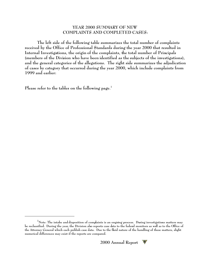## **YEAR 2000 SUMMARY OF NEW COMPLAINTS AND COMPLETED CASES:**

**The left side of the following table summarizes the total number of complaints received by the Office of Professional Standards during the year 2000 that resulted in Internal Investigations, the origin of the complaints, the total number of Principals (members of the Division who have been identified as the subjects of the investigations), and the general categories of the allegations. The right side summarizes the adjudication of cases by category that occurred during the year 2000, which include complaints from 1999 and earlier:**

**Please refer to the tables on the following page.<sup>1</sup>**

**<sup>1</sup>Note: The intake and disposition of complaints is an ongoing process. During investigations matters may be reclassified. During the year, the Division also reports case data to the federal monitors as well as to the Office of the Attorney General which each publish case data. Due to the fluid nature of the handling of these matters, slight numerical differences may exist if the reports are compared.**

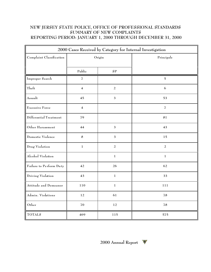## **NEW JERSEY STATE POLICE, OFFICE OF PROFESSIONAL STANDARDS SUMMARY OF NEW COMPLAINTS REPORTING PERIOD: JANUARY 1, 2000 THROUGH DECEMBER 31, 2000**

| 2000 Cases Received by Category for Internal Investigation |                         |                |                          |  |
|------------------------------------------------------------|-------------------------|----------------|--------------------------|--|
| Complaint Classification                                   | Origin                  |                | Principals               |  |
|                                                            | Public                  | ${\bf SP}$     |                          |  |
| Improper Search                                            | 7                       |                | $\overline{5}$           |  |
| Theft                                                      | $\overline{\mathbf{4}}$ | $\overline{a}$ | 6                        |  |
| Assault                                                    | 45                      | $\mathfrak{Z}$ | 53                       |  |
| Excessive Force                                            | $\overline{\mathbf{4}}$ |                | $\overline{\mathcal{I}}$ |  |
| Differential Treatment                                     | 79                      |                | 81                       |  |
| Other Harassment                                           | 44                      | 3              | 43                       |  |
| Domestic Violence                                          | $\bf 8$                 | $\mathfrak{Z}$ | 15                       |  |
| Drug Violation                                             | $\mathbf{1}$            | $\overline{a}$ | $\overline{a}$           |  |
| Alcohol Violation                                          |                         | $\mathbf{1}$   | $\mathbf{1}$             |  |
| Failure to Perform Duty                                    | 42                      | 26             | 62                       |  |
| Driving Violation                                          | 43                      | $\mathbf 1$    | 33                       |  |
| Attitude and Demeanor                                      | 110                     | $\mathbf 1$    | 111                      |  |
| Admin. Violations                                          | 12                      | 61             | 78                       |  |
| Other                                                      | 70                      | 12             | 78                       |  |
| <b>TOTALS</b>                                              | 469                     | 115            | 575                      |  |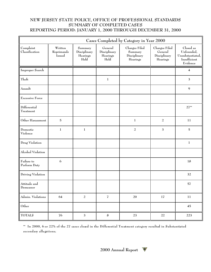## **NEW JERSEY STATE POLICE, OFFICE OF PROFESSIONAL STANDARDS SUMMARY OF COMPLETED CASES REPORTING PERIOD: JANUARY 1, 2000 THROUGH DECEMBER 31, 2000**

| Cases Completed by Category in Year 2000 |                                 |                                             |                                             |                                                                                                              |                |                                                                         |
|------------------------------------------|---------------------------------|---------------------------------------------|---------------------------------------------|--------------------------------------------------------------------------------------------------------------|----------------|-------------------------------------------------------------------------|
| Complaint<br>Classification              | Written<br>Reprimands<br>Issued | Summary<br>Disciplinary<br>Hearings<br>Held | General<br>Disciplinary<br>Hearings<br>Held | Charges Filed<br>Charges Filed<br>General<br>Summary<br>Disciplinary<br>Disciplinary<br>Hearings<br>Hearings |                | Closed as<br>Unfounded,<br>Unsubstantiated,<br>Insufficient<br>Evidence |
| Improper Search                          |                                 |                                             |                                             |                                                                                                              |                | 4                                                                       |
| Theft                                    |                                 |                                             | $\mathbf{1}$                                |                                                                                                              |                | $\mathfrak 3$                                                           |
| Assault                                  |                                 |                                             |                                             |                                                                                                              |                | $\mathbf{9}$                                                            |
| <b>Excessive Force</b>                   |                                 |                                             |                                             |                                                                                                              |                |                                                                         |
| Differential<br>Treatment                |                                 |                                             |                                             |                                                                                                              |                | $27**$                                                                  |
| Other Harassment                         | $\overline{5}$                  |                                             |                                             | $\mathbf{1}$                                                                                                 | $\overline{2}$ |                                                                         |
| Domestic<br>Violence                     | $\mathbf{1}$                    | $\mathbf{1}$                                |                                             | $\sqrt{2}$<br>$\mathbf{3}$                                                                                   |                | $\mathbf 5$                                                             |
| Drug Violation                           |                                 |                                             |                                             |                                                                                                              |                | $\mathbf 1$                                                             |
| Alcohol Violation                        |                                 |                                             |                                             |                                                                                                              |                |                                                                         |
| Failure to<br>Perform Duty               | 6                               |                                             |                                             |                                                                                                              |                | 18                                                                      |
| Driving Violation                        |                                 |                                             |                                             |                                                                                                              |                | 32                                                                      |
| Attitude and<br>Demeanor                 |                                 |                                             |                                             |                                                                                                              |                | 57                                                                      |
| Admin. Violations                        | 64                              | $\overline{a}$                              | $\overline{\mathbf{Z}}$                     | $20\,$                                                                                                       | $17\,$         | $11\,$                                                                  |
| Other                                    |                                 |                                             |                                             |                                                                                                              |                | 45                                                                      |
| <b>TOTALS</b>                            | ${\bf 76}$                      | $\mathfrak{Z}$                              | $\bf 8$                                     | $23\,$                                                                                                       | $22\,$         | 223                                                                     |

**\*\* In 2000, 6 or 22% of the 27 cases closed in the Differential Treatment category resulted in Substantiated secondary allegations.**

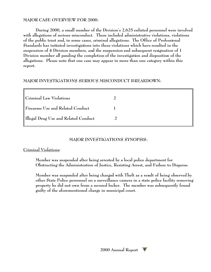## **MAJOR CASE OVERVIEW FOR 2000:**

**During 2000, a small number of the Division's 2,625 enlisted personnel were involved with allegations of serious misconduct. These included administrative violations, violations of the public trust and, in some cases, criminal allegations. The Office of Professional Standards has initiated investigations into these violations which have resulted in the suspension of 4 Division members, and the suspension and subsequent resignation of 1 Division member all pending the completion of the investigation and disposition of the allegations. Please note that one case may appear in more than one category within this report.**

## **MAJOR INVESTIGATIONS SERIOUS MISCONDUCT BREAKDOWN:**

| <b>Criminal Law Violations</b>               |  |
|----------------------------------------------|--|
| $\parallel$ Firearms Use and Related Conduct |  |
| Illegal Drug Use and Related Conduct         |  |

## **MAJOR INVESTIGATIONS SYNOPSIS:**

## **Criminal Violations:**

**Member was suspended after being arrested by a local police department for Obstructing the Administration of Justice, Resisting Arrest, and Failure to Disperse.**

**Member was suspended after being charged with Theft as a result of being observed by other State Police personnel on a surveillance camera in a state police facility removing property he did not own from a secured locker. The member was subsequently found guilty of the aforementioned charge in municipal court.**

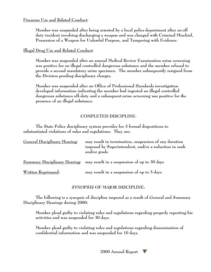## **Firearms Use and Related Conduct:**

**Member was suspended after being arrested by a local police department after an off duty incident involving discharging a weapon and was charged with Criminal Mischief, Possession of a Weapon for Unlawful Purpose, and Tampering with Evidence.**

**Illegal Drug Use and Related Conduct:**

**Member was suspended after an annual Medical Review Examination urine screening was positive for an illegal controlled dangerous substance and the member refused to provide a second mandatory urine specimen. The member subsequently resigned from the Division pending disciplinary charges.**

**Member was suspended after an Office of Professional Standards investigation developed information indicating the member had ingested an illegal controlled dangerous substance off-duty and a subsequent urine screening was positive for the presence of an illegal substance.** 

## **COMPLETED DISCIPLINE:**

**The State Police disciplinary system provides for 3 formal dispositions to substantiated violations of rules and regulations. They are:**

| General Disciplinary Hearing: | may result in termination, suspension of any duration<br>imposed by Superintendent, and/or a reduction in rank<br>and/or grade |  |  |  |
|-------------------------------|--------------------------------------------------------------------------------------------------------------------------------|--|--|--|
|                               | Summary Disciplinary Hearing: may result in a suspension of up to 30 days                                                      |  |  |  |
| <u>Written Reprimand:</u>     | may result in a suspension of up to 5 days                                                                                     |  |  |  |

**SYNOPSIS OF MAJOR DISCIPLINE:**

**The following is a synopsis of discipline imposed as a result of General and Summary Disciplinary Hearings during 2000:**

**Member plead guilty to violating rules and regulations regarding properly reporting his activities and was suspended for 30 days.**

**Member plead guilty to violating rules and regulations regarding dissemination of confidential information and was suspended for 10 days.**

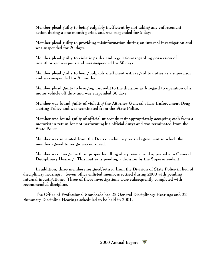**Member plead guilty to being culpably inefficient by not taking any enforcement action during a one month period and was suspended for 5 days.**

**Member plead guilty to providing misinformation during an internal investigation and was suspended for 20 days.**

**Member plead guilty to violating rules and regulations regarding possession of unauthorized weapons and was suspended for 30 days.**

**Member plead guilty to being culpably inefficient with regard to duties as a supervisor and was suspended for 6 months.**

**Member plead guilty to bringing discredit to the division with regard to operation of a motor vehicle off duty and was suspended 30 days.** 

**Member was found guilty of violating the Attorney General's Law Enforcement Drug Testing Policy and was terminated from the State Police.**

**Member was found guilty of official misconduct (inappropriately accepting cash from a motorist in return for not performing his official duty) and was terminated from the State Police.** 

**Member was separated from the Division when a pre-trial agreement in which the member agreed to resign was enforced.**

**Member was charged with improper handling of a prisoner and appeared at a General Disciplinary Hearing. This matter is pending a decision by the Superintendent.**

**In addition, three members resigned/retired from the Division of State Police in lieu of disciplinary hearings. Seven other enlisted members retired during 2000 with pending internal investigations. Three of these investigations were subsequently completed with recommended discipline.**

**The Office of Professional Standards has 23 General Disciplinary Hearings and 22 Summary Discipline Hearings scheduled to be held in 2001.**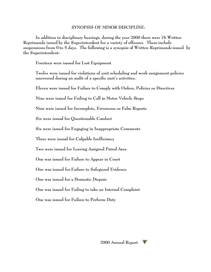#### **SYNOPSIS OF MINOR DISCIPLINE:**

**In addition to disciplinary hearings, during the year 2000 there were 76 Written Reprimands issued by the Superintendent for a variety of offenses. These include suspensions from 0 to 5 days. The following is a synopsis of Written Reprimands issued by the Superintendent:**

**Fourteen were issued for Lost Equipment**

**Twelve were issued for violations of unit scheduling and work assignment policies uncovered during an audit of a specific unit's activities.**

**Eleven were issued for Failure to Comply with Orders, Policies or Directives**

**Nine were issued for Failing to Call in Motor Vehicle Stops**

**Nine were issued for Incomplete, Erroneous or False Reports**

**Six were issued for Questionable Conduct**

**Six were issued for Engaging in Inappropriate Comments**

**Three were issued for Culpable Inefficiency**

**Two were issued for Leaving Assigned Patrol Area**

**One was issued for Failure to Appear in Court**

**One was issued for Failure to Safeguard Evidence**

**One was issued for a Domestic Dispute**

**One was issued for Failing to take an Internal Complaint**

**One was issued for Failure to Perform Duty**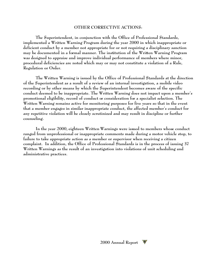#### **OTHER CORRECTIVE ACTIONS:**

**The Superintendent, in conjunction with the Office of Professional Standards, implemented a Written Warning Program during the year 2000 in which inappropriate or deficient conduct by a member not appropriate for or not requiring a disciplinary sanction may be documented in a formal manner. The institution of the Written Warning Program was designed to appraise and improve individual performance of members where minor, procedural deficiencies are noted which may or may not constitute a violation of a Rule, Regulation or Order.** 

**The Written Warning is issued by the Office of Professional Standards at the direction of the Superintendent as a result of a review of an internal investigation, a mobile video recording or by other means by which the Superintendent becomes aware of the specific conduct deemed to be inappropriate. The Written Warning does not impact upon a member's promotional eligibility, record of conduct or consideration for a specialist selection. The Written Warning remains active for monitoring purposes for five years so that in the event that a member engages in similar inappropriate conduct, the affected member's conduct for any repetitive violation will be closely scrutinized and may result in discipline or further counseling.** 

**In the year 2000, eighteen Written Warnings were issued to members whose conduct ranged from unprofessional or inappropriate comments made during a motor vehicle stop, to failure to take appropriate action as a member or supervisor when receiving a citizen complaint. In addition, the Office of Professional Standards is in the process of issuing 37 Written Warnings as the result of an investigation into violations of unit scheduling and administrative practices.**

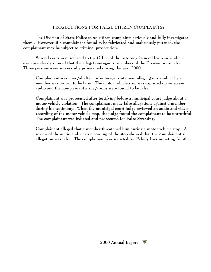## **PROSECUTIONS FOR FALSE CITIZEN COMPLAINTS:**

**The Division of State Police takes citizen complaints seriously and fully investigates them . However, if a complaint is found to be fabricated and maliciously pursued, the complainant may be subject to criminal prosecution.** 

**Several cases were referred to the Office of the Attorney General for review when evidence clearly showed that the allegations against members of the Division were false. Three persons were successfully prosecuted during the year 2000:**

**Complainant was charged after his notarized statement alleging misconduct by a member was proven to be false. The motor vehicle stop was captured on video and audio and the complainant's allegations were found to be false.** 

**Complainant was prosecuted after testifying before a municipal court judge about a motor vehicle violation. The complainant made false allegations against a member during his testimony. When the municipal court judge reviewed an audio and video recording of the motor vehicle stop, the judge found the complainant to be untruthful. The complainant was indicted and prosecuted for False Swearing.**

**Complainant alleged that a member threatened him during a motor vehicle stop. A review of the audio and video recording of the stop showed that the complainant's allegation was false. The complainant was indicted for Falsely Incriminating Another.**

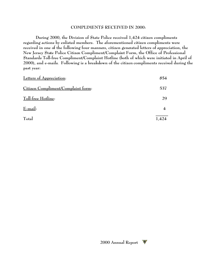## **COMPLIMENTS RECEIVED IN 2000:**

**During 2000, the Division of State Police received 1,424 citizen compliments regarding actions by enlisted members. The aforementioned citizen compliments were received in one of the following four manners, citizen generated letters of appreciation, the New Jersey State Police Citizen Compliment/Complaint Form, the Office of Professional Standards Toll-free Compliment/Complaint Hotline (both of which were initiated in April of 2000), and e-mails. Following is a breakdown of the citizen compliments received during the past year:**

| Letters of Appreciation:           | 854   |
|------------------------------------|-------|
| Citizen Compliment/Complaint form: | 537   |
| Toll-free Hotline:                 | 29    |
| E-mail:                            |       |
| Total                              | 1.424 |